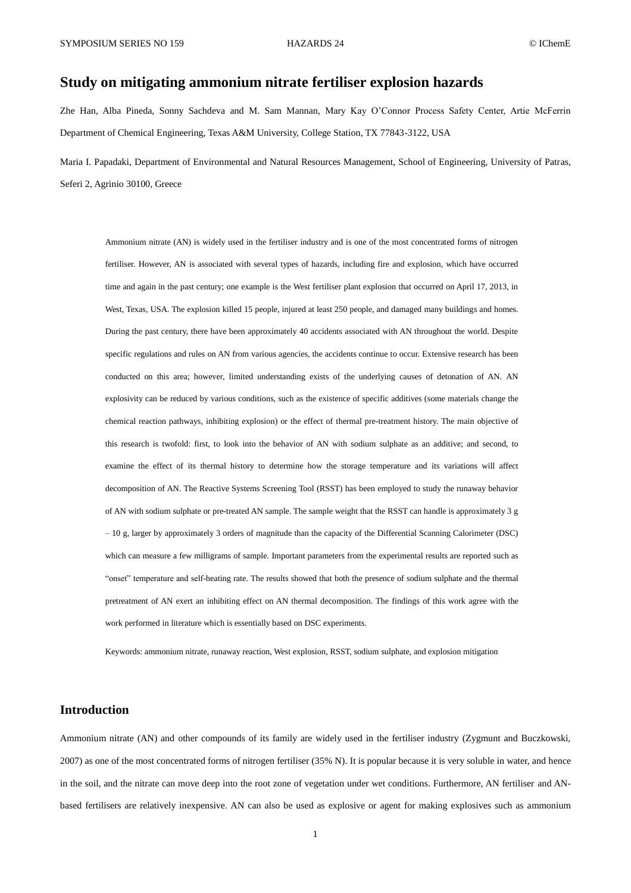# **Study on mitigating ammonium nitrate fertiliser explosion hazards**

Zhe Han, Alba Pineda, Sonny Sachdeva and M. Sam Mannan, Mary Kay O'Connor Process Safety Center, Artie McFerrin Department of Chemical Engineering, Texas A&M University, College Station, TX 77843-3122, USA

Maria I. Papadaki, Department of Environmental and Natural Resources Management, School of Engineering, University of Patras, Seferi 2, Agrinio 30100, Greece

Ammonium nitrate (AN) is widely used in the fertiliser industry and is one of the most concentrated forms of nitrogen fertiliser. However, AN is associated with several types of hazards, including fire and explosion, which have occurred time and again in the past century; one example is the West fertiliser plant explosion that occurred on April 17, 2013, in West, Texas, USA. The explosion killed 15 people, injured at least 250 people, and damaged many buildings and homes. During the past century, there have been approximately 40 accidents associated with AN throughout the world. Despite specific regulations and rules on AN from various agencies, the accidents continue to occur. Extensive research has been conducted on this area; however, limited understanding exists of the underlying causes of detonation of AN. AN explosivity can be reduced by various conditions, such as the existence of specific additives (some materials change the chemical reaction pathways, inhibiting explosion) or the effect of thermal pre-treatment history. The main objective of this research is twofold: first, to look into the behavior of AN with sodium sulphate as an additive; and second, to examine the effect of its thermal history to determine how the storage temperature and its variations will affect decomposition of AN. The Reactive Systems Screening Tool (RSST) has been employed to study the runaway behavior of AN with sodium sulphate or pre-treated AN sample. The sample weight that the RSST can handle is approximately 3 g – 10 g, larger by approximately 3 orders of magnitude than the capacity of the Differential Scanning Calorimeter (DSC) which can measure a few milligrams of sample. Important parameters from the experimental results are reported such as "onset" temperature and self-heating rate. The results showed that both the presence of sodium sulphate and the thermal pretreatment of AN exert an inhibiting effect on AN thermal decomposition. The findings of this work agree with the work performed in literature which is essentially based on DSC experiments.

Keywords: ammonium nitrate, runaway reaction, West explosion, RSST, sodium sulphate, and explosion mitigation

## **Introduction**

Ammonium nitrate (AN) and other compounds of its family are widely used in the fertiliser industry (Zygmunt and Buczkowski, 2007) as one of the most concentrated forms of nitrogen fertiliser (35% N). It is popular because it is very soluble in water, and hence in the soil, and the nitrate can move deep into the root zone of vegetation under wet conditions. Furthermore, AN fertiliser and ANbased fertilisers are relatively inexpensive. AN can also be used as explosive or agent for making explosives such as ammonium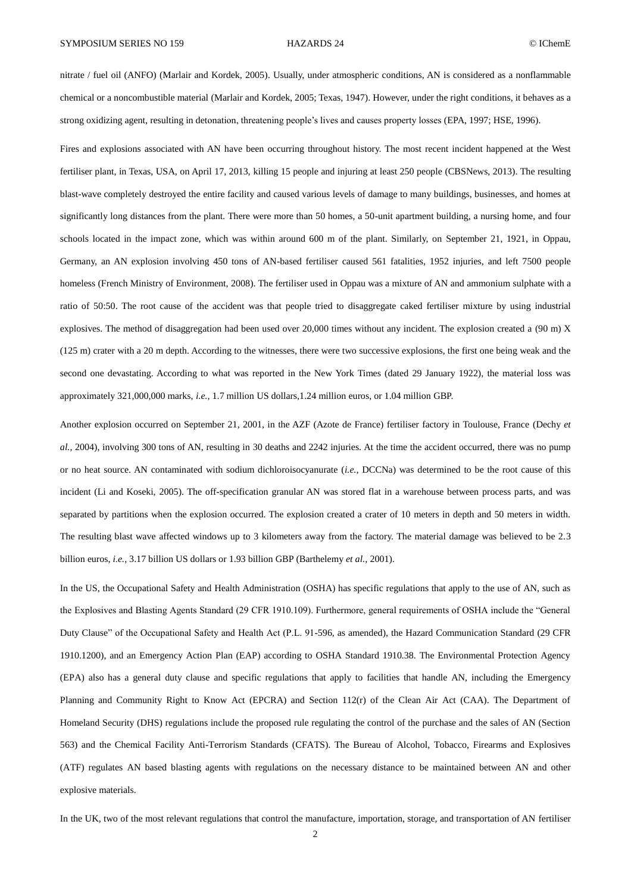nitrate / fuel oil (ANFO) (Marlair and Kordek, 2005). Usually, under atmospheric conditions, AN is considered as a nonflammable chemical or a noncombustible material (Marlair and Kordek, 2005; Texas, 1947). However, under the right conditions, it behaves as a strong oxidizing agent, resulting in detonation, threatening people's lives and causes property losses (EPA, 1997; HSE, 1996).

Fires and explosions associated with AN have been occurring throughout history. The most recent incident happened at the West fertiliser plant, in Texas, USA, on April 17, 2013, killing 15 people and injuring at least 250 people (CBSNews, 2013). The resulting blast-wave completely destroyed the entire facility and caused various levels of damage to many buildings, businesses, and homes at significantly long distances from the plant. There were more than 50 homes, a 50-unit apartment building, a nursing home, and four schools located in the impact zone, which was within around 600 m of the plant. Similarly, on September 21, 1921, in Oppau, Germany, an AN explosion involving 450 tons of AN-based fertiliser caused 561 fatalities, 1952 injuries, and left 7500 people homeless (French Ministry of Environment, 2008). The fertiliser used in Oppau was a mixture of AN and ammonium sulphate with a ratio of 50:50. The root cause of the accident was that people tried to disaggregate caked fertiliser mixture by using industrial explosives. The method of disaggregation had been used over 20,000 times without any incident. The explosion created a (90 m) X (125 m) crater with a 20 m depth. According to the witnesses, there were two successive explosions, the first one being weak and the second one devastating. According to what was reported in the New York Times (dated 29 January 1922), the material loss was approximately 321,000,000 marks, *i.e.*, 1.7 million US dollars,1.24 million euros, or 1.04 million GBP.

Another explosion occurred on September 21, 2001, in the AZF (Azote de France) fertiliser factory in Toulouse, France (Dechy *et al.*, 2004), involving 300 tons of AN, resulting in 30 deaths and 2242 injuries. At the time the accident occurred, there was no pump or no heat source. AN contaminated with sodium dichloroisocyanurate (*i.e.*, DCCNa) was determined to be the root cause of this incident (Li and Koseki, 2005). The off-specification granular AN was stored flat in a warehouse between process parts, and was separated by partitions when the explosion occurred. The explosion created a crater of 10 meters in depth and 50 meters in width. The resulting blast wave affected windows up to 3 kilometers away from the factory. The material damage was believed to be 2.3 billion euros, *i.e.*, 3.17 billion US dollars or 1.93 billion GBP (Barthelemy *et al.*, 2001).

In the US, the Occupational Safety and Health Administration (OSHA) has specific regulations that apply to the use of AN, such as the Explosives and Blasting Agents Standard (29 CFR 1910.109). Furthermore, general requirements of OSHA include the "General Duty Clause" of the Occupational Safety and Health Act (P.L. 91-596, as amended), the Hazard Communication Standard (29 CFR 1910.1200), and an Emergency Action Plan (EAP) according to OSHA Standard 1910.38. The Environmental Protection Agency (EPA) also has a general duty clause and specific regulations that apply to facilities that handle AN, including the Emergency Planning and Community Right to Know Act (EPCRA) and Section 112(r) of the Clean Air Act (CAA). The Department of Homeland Security (DHS) regulations include the proposed rule regulating the control of the purchase and the sales of AN (Section 563) and the Chemical Facility Anti-Terrorism Standards (CFATS). The Bureau of Alcohol, Tobacco, Firearms and Explosives (ATF) regulates AN based blasting agents with regulations on the necessary distance to be maintained between AN and other explosive materials.

In the UK, two of the most relevant regulations that control the manufacture, importation, storage, and transportation of AN fertiliser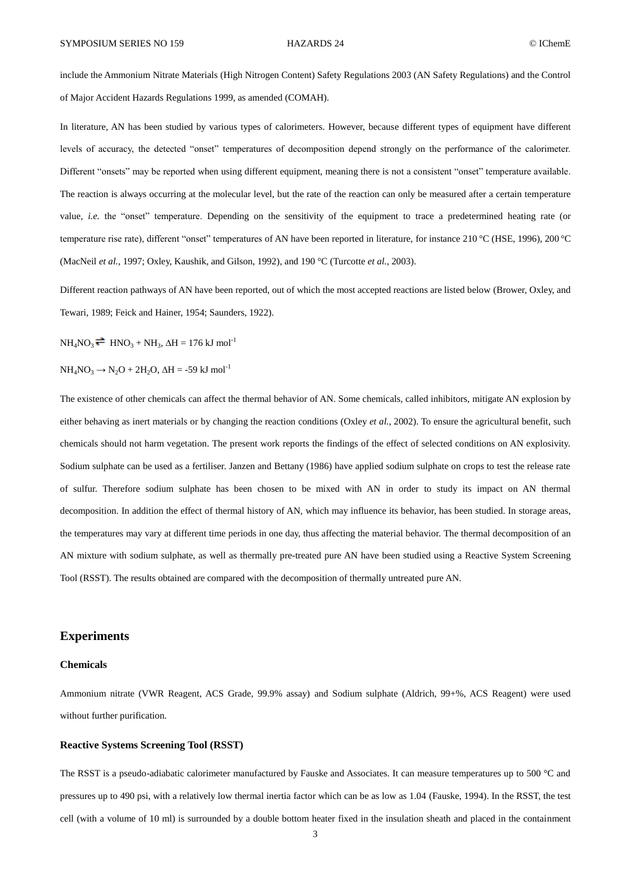include the Ammonium Nitrate Materials (High Nitrogen Content) Safety Regulations 2003 (AN Safety Regulations) and the Control of Major Accident Hazards Regulations 1999, as amended (COMAH).

In literature, AN has been studied by various types of calorimeters. However, because different types of equipment have different levels of accuracy, the detected "onset" temperatures of decomposition depend strongly on the performance of the calorimeter. Different "onsets" may be reported when using different equipment, meaning there is not a consistent "onset" temperature available. The reaction is always occurring at the molecular level, but the rate of the reaction can only be measured after a certain temperature value, *i.e.* the "onset" temperature. Depending on the sensitivity of the equipment to trace a predetermined heating rate (or temperature rise rate), different "onset" temperatures of AN have been reported in literature, for instance 210 °C (HSE, 1996), 200 °C (MacNeil *et al.*, 1997; Oxley, Kaushik, and Gilson, 1992), and 190 °C (Turcotte *et al.*, 2003).

Different reaction pathways of AN have been reported, out of which the most accepted reactions are listed below (Brower, Oxley, and Tewari, 1989; Feick and Hainer, 1954; Saunders, 1922).

 $NH_4NO_3 \rightleftharpoons HNO_3 + NH_3$ ,  $\Delta H = 176 \text{ kJ} \text{ mol}^{-1}$ 

 $NH<sub>4</sub>NO<sub>3</sub> \rightarrow N<sub>2</sub>O + 2H<sub>2</sub>O$ ,  $\Delta H = -59$  kJ mol<sup>-1</sup>

The existence of other chemicals can affect the thermal behavior of AN. Some chemicals, called inhibitors, mitigate AN explosion by either behaving as inert materials or by changing the reaction conditions (Oxley *et al.*, 2002). To ensure the agricultural benefit, such chemicals should not harm vegetation. The present work reports the findings of the effect of selected conditions on AN explosivity. Sodium sulphate can be used as a fertiliser. Janzen and Bettany (1986) have applied sodium sulphate on crops to test the release rate of sulfur. Therefore sodium sulphate has been chosen to be mixed with AN in order to study its impact on AN thermal decomposition. In addition the effect of thermal history of AN, which may influence its behavior, has been studied. In storage areas, the temperatures may vary at different time periods in one day, thus affecting the material behavior. The thermal decomposition of an AN mixture with sodium sulphate, as well as thermally pre-treated pure AN have been studied using a Reactive System Screening Tool (RSST). The results obtained are compared with the decomposition of thermally untreated pure AN.

## **Experiments**

### **Chemicals**

Ammonium nitrate (VWR Reagent, ACS Grade, 99.9% assay) and Sodium sulphate (Aldrich, 99+%, ACS Reagent) were used without further purification.

### **Reactive Systems Screening Tool (RSST)**

The RSST is a pseudo-adiabatic calorimeter manufactured by Fauske and Associates. It can measure temperatures up to 500 °C and pressures up to 490 psi, with a relatively low thermal inertia factor which can be as low as 1.04 (Fauske, 1994). In the RSST, the test cell (with a volume of 10 ml) is surrounded by a double bottom heater fixed in the insulation sheath and placed in the containment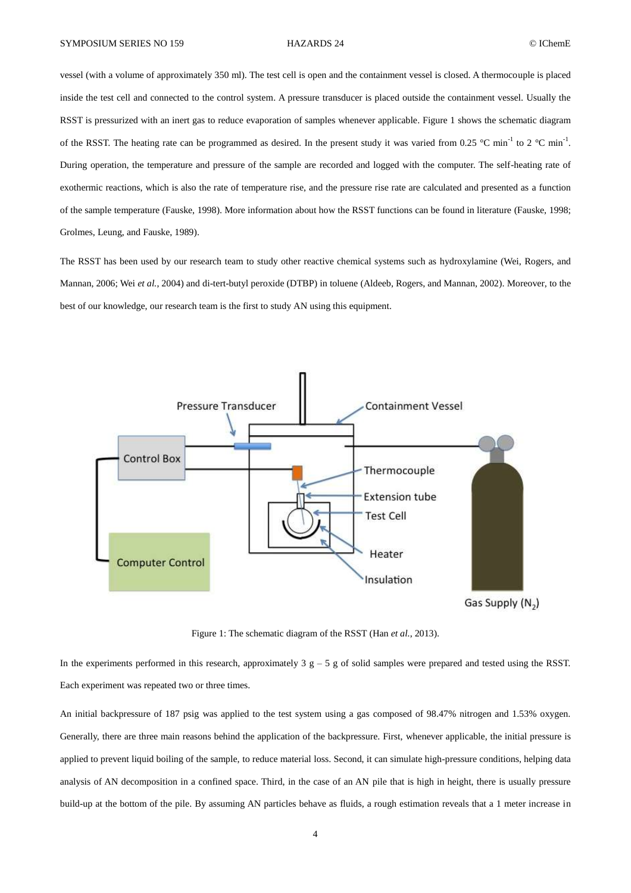vessel (with a volume of approximately 350 ml). The test cell is open and the containment vessel is closed. A thermocouple is placed inside the test cell and connected to the control system. A pressure transducer is placed outside the containment vessel. Usually the RSST is pressurized with an inert gas to reduce evaporation of samples whenever applicable. [Figure 1](#page-3-0) shows the schematic diagram of the RSST. The heating rate can be programmed as desired. In the present study it was varied from 0.25 °C min<sup>-1</sup> to 2 °C min<sup>-1</sup>. During operation, the temperature and pressure of the sample are recorded and logged with the computer. The self-heating rate of exothermic reactions, which is also the rate of temperature rise, and the pressure rise rate are calculated and presented as a function of the sample temperature (Fauske, 1998). More information about how the RSST functions can be found in literature (Fauske, 1998; Grolmes, Leung, and Fauske, 1989).

The RSST has been used by our research team to study other reactive chemical systems such as hydroxylamine (Wei, Rogers, and Mannan, 2006; Wei *et al.*, 2004) and di-tert-butyl peroxide (DTBP) in toluene (Aldeeb, Rogers, and Mannan, 2002). Moreover, to the best of our knowledge, our research team is the first to study AN using this equipment.



Figure 1: The schematic diagram of the RSST (Han *et al.*, 2013).

<span id="page-3-0"></span>In the experiments performed in this research, approximately  $3 \text{ g} - 5 \text{ g}$  of solid samples were prepared and tested using the RSST. Each experiment was repeated two or three times.

An initial backpressure of 187 psig was applied to the test system using a gas composed of 98.47% nitrogen and 1.53% oxygen. Generally, there are three main reasons behind the application of the backpressure. First, whenever applicable, the initial pressure is applied to prevent liquid boiling of the sample, to reduce material loss. Second, it can simulate high-pressure conditions, helping data analysis of AN decomposition in a confined space. Third, in the case of an AN pile that is high in height, there is usually pressure build-up at the bottom of the pile. By assuming AN particles behave as fluids, a rough estimation reveals that a 1 meter increase in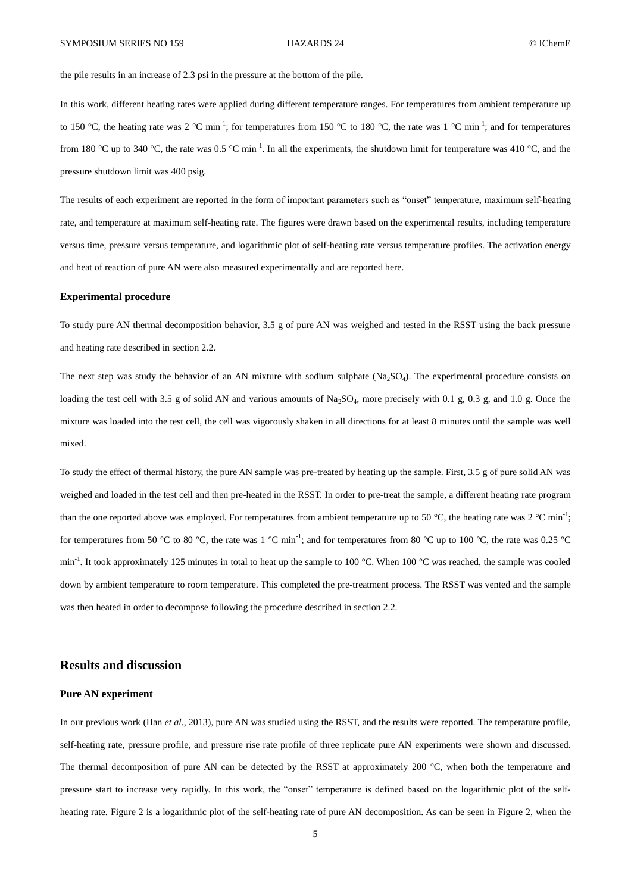the pile results in an increase of 2.3 psi in the pressure at the bottom of the pile.

In this work, different heating rates were applied during different temperature ranges. For temperatures from ambient temperature up to 150 °C, the heating rate was 2 °C min<sup>-1</sup>; for temperatures from 150 °C to 180 °C, the rate was 1 °C min<sup>-1</sup>; and for temperatures from 180 °C up to 340 °C, the rate was 0.5 °C min<sup>-1</sup>. In all the experiments, the shutdown limit for temperature was 410 °C, and the pressure shutdown limit was 400 psig.

The results of each experiment are reported in the form of important parameters such as "onset" temperature, maximum self-heating rate, and temperature at maximum self-heating rate. The figures were drawn based on the experimental results, including temperature versus time, pressure versus temperature, and logarithmic plot of self-heating rate versus temperature profiles. The activation energy and heat of reaction of pure AN were also measured experimentally and are reported here.

### **Experimental procedure**

To study pure AN thermal decomposition behavior, 3.5 g of pure AN was weighed and tested in the RSST using the back pressure and heating rate described in section 2.2.

The next step was study the behavior of an AN mixture with sodium sulphate  $(Na_2SO_4)$ . The experimental procedure consists on loading the test cell with 3.5 g of solid AN and various amounts of Na<sub>2</sub>SO<sub>4</sub>, more precisely with 0.1 g, 0.3 g, and 1.0 g. Once the mixture was loaded into the test cell, the cell was vigorously shaken in all directions for at least 8 minutes until the sample was well mixed.

To study the effect of thermal history, the pure AN sample was pre-treated by heating up the sample. First, 3.5 g of pure solid AN was weighed and loaded in the test cell and then pre-heated in the RSST. In order to pre-treat the sample, a different heating rate program than the one reported above was employed. For temperatures from ambient temperature up to 50 °C, the heating rate was 2 °C min<sup>-1</sup>; for temperatures from 50 °C to 80 °C, the rate was 1 °C min<sup>-1</sup>; and for temperatures from 80 °C up to 100 °C, the rate was 0.25 °C min<sup>-1</sup>. It took approximately 125 minutes in total to heat up the sample to 100 °C. When 100 °C was reached, the sample was cooled down by ambient temperature to room temperature. This completed the pre-treatment process. The RSST was vented and the sample was then heated in order to decompose following the procedure described in section 2.2.

## **Results and discussion**

## **Pure AN experiment**

In our previous work (Han *et al.*, 2013), pure AN was studied using the RSST, and the results were reported. The temperature profile, self-heating rate, pressure profile, and pressure rise rate profile of three replicate pure AN experiments were shown and discussed. The thermal decomposition of pure AN can be detected by the RSST at approximately 200 °C, when both the temperature and pressure start to increase very rapidly. In this work, the "onset" temperature is defined based on the logarithmic plot of the selfheating rate. [Figure 2](#page-5-0) is a logarithmic plot of the self-heating rate of pure AN decomposition. As can be seen in [Figure 2,](#page-5-0) when the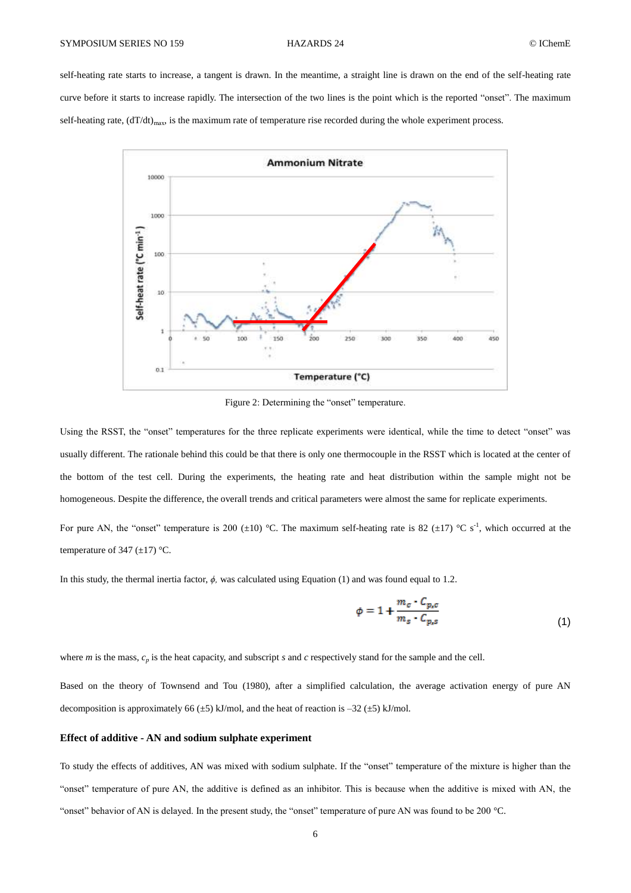### SYMPOSIUM SERIES NO 159 HAZARDS 24 CIChemE

self-heating rate starts to increase, a tangent is drawn. In the meantime, a straight line is drawn on the end of the self-heating rate curve before it starts to increase rapidly. The intersection of the two lines is the point which is the reported "onset". The maximum self-heating rate,  $(dT/dt)_{max}$ , is the maximum rate of temperature rise recorded during the whole experiment process.



Figure 2: Determining the "onset" temperature.

<span id="page-5-0"></span>Using the RSST, the "onset" temperatures for the three replicate experiments were identical, while the time to detect "onset" was usually different. The rationale behind this could be that there is only one thermocouple in the RSST which is located at the center of the bottom of the test cell. During the experiments, the heating rate and heat distribution within the sample might not be homogeneous. Despite the difference, the overall trends and critical parameters were almost the same for replicate experiments.

For pure AN, the "onset" temperature is 200  $(\pm 10)$  °C. The maximum self-heating rate is 82  $(\pm 17)$  °C s<sup>-1</sup>, which occurred at the temperature of 347  $(\pm 17)$  °C.

In this study, the thermal inertia factor, *ϕ,* was calculated using Equation (1) and was found equal to 1.2.

$$
\phi = 1 + \frac{m_c \cdot C_{p,c}}{m_s \cdot C_{p,s}} \tag{1}
$$

where  $m$  is the mass,  $c_p$  is the heat capacity, and subscript  $s$  and  $c$  respectively stand for the sample and the cell.

Based on the theory of Townsend and Tou (1980), after a simplified calculation, the average activation energy of pure AN decomposition is approximately 66  $(\pm 5)$  kJ/mol, and the heat of reaction is  $-32 (\pm 5)$  kJ/mol.

### **Effect of additive - AN and sodium sulphate experiment**

To study the effects of additives, AN was mixed with sodium sulphate. If the "onset" temperature of the mixture is higher than the "onset" temperature of pure AN, the additive is defined as an inhibitor. This is because when the additive is mixed with AN, the "onset" behavior of AN is delayed. In the present study, the "onset" temperature of pure AN was found to be 200 °C.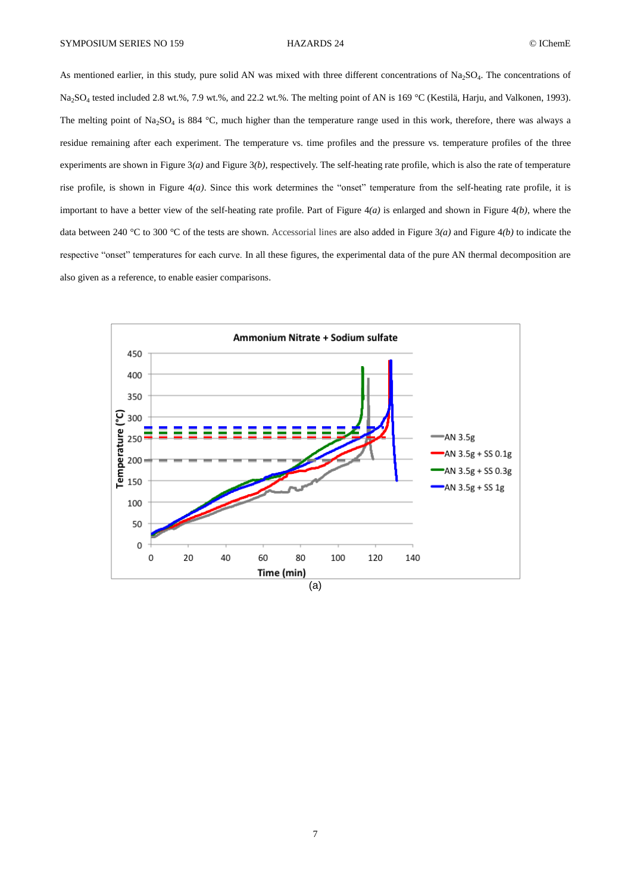As mentioned earlier, in this study, pure solid AN was mixed with three different concentrations of  $Na<sub>2</sub>SO<sub>4</sub>$ . The concentrations of Na<sub>2</sub>SO<sub>4</sub> tested included 2.8 wt.%, 7.9 wt.%, and 22.2 wt.%. The melting point of AN is 169 °C (Kestilä, Harju, and Valkonen, 1993). The melting point of  $Na_2SO_4$  is 884 °C, much higher than the temperature range used in this work, therefore, there was always a residue remaining after each experiment. The temperature vs. time profiles and the pressure vs. temperature profiles of the three experiments are shown in [Figure 3](#page-7-0)*(a)* an[d Figure 3](#page-7-0)*(b)*, respectively. The self-heating rate profile, which is also the rate of temperature rise profile, is shown in Figure  $4(a)$ . Since this work determines the "onset" temperature from the self-heating rate profile, it is important to have a better view of the self-heating rate profile. Part of [Figure 4](#page-8-0)*(a)* is enlarged and shown in [Figure 4](#page-8-0)*(b)*, where the data between 240 °C to 300 °C of the tests are shown. Accessorial lines are also added in [Figure 3](#page-7-0)*(a)* and [Figure 4](#page-8-0)*(b)* to indicate the respective "onset" temperatures for each curve. In all these figures, the experimental data of the pure AN thermal decomposition are also given as a reference, to enable easier comparisons.

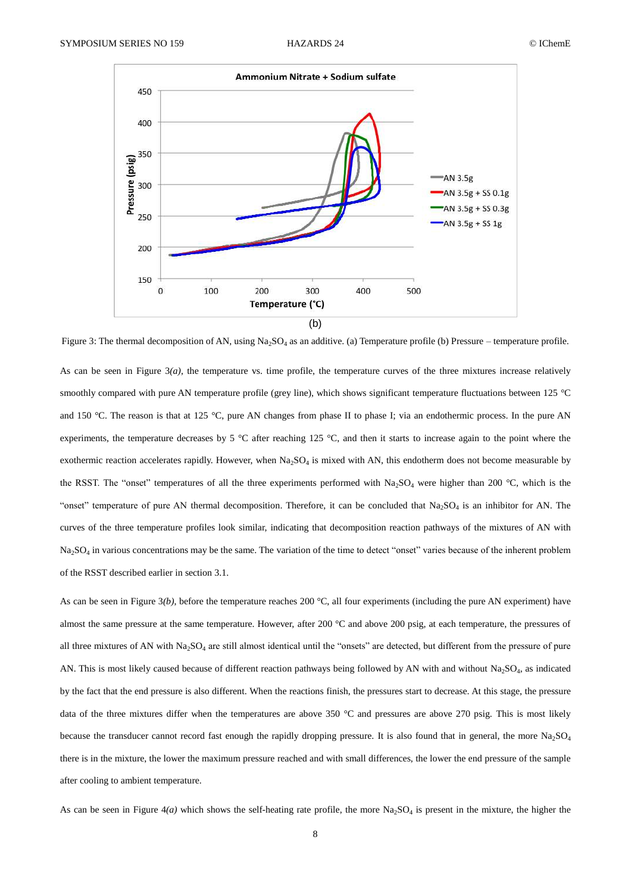

<span id="page-7-0"></span>Figure 3: The thermal decomposition of AN, using  $Na<sub>2</sub>SO<sub>4</sub>$  as an additive. (a) Temperature profile (b) Pressure – temperature profile.

As can be seen in Figure  $3(a)$ , the temperature vs. time profile, the temperature curves of the three mixtures increase relatively smoothly compared with pure AN temperature profile (grey line), which shows significant temperature fluctuations between 125 °C and 150 °C. The reason is that at 125 °C, pure AN changes from phase II to phase I; via an endothermic process. In the pure AN experiments, the temperature decreases by 5 °C after reaching 125 °C, and then it starts to increase again to the point where the exothermic reaction accelerates rapidly. However, when  $Na<sub>2</sub>SO<sub>4</sub>$  is mixed with AN, this endotherm does not become measurable by the RSST. The "onset" temperatures of all the three experiments performed with  $Na_2SO_4$  were higher than 200 °C, which is the "onset" temperature of pure AN thermal decomposition. Therefore, it can be concluded that  $Na<sub>2</sub>SO<sub>4</sub>$  is an inhibitor for AN. The curves of the three temperature profiles look similar, indicating that decomposition reaction pathways of the mixtures of AN with  $Na<sub>2</sub>SO<sub>4</sub>$  in various concentrations may be the same. The variation of the time to detect "onset" varies because of the inherent problem of the RSST described earlier in section 3.1.

As can be seen in [Figure 3](#page-7-0)*(b)*, before the temperature reaches 200 °C, all four experiments (including the pure AN experiment) have almost the same pressure at the same temperature. However, after 200 °C and above 200 psig, at each temperature, the pressures of all three mixtures of AN with  $Na<sub>2</sub>SO<sub>4</sub>$  are still almost identical until the "onsets" are detected, but different from the pressure of pure AN. This is most likely caused because of different reaction pathways being followed by AN with and without  $Na<sub>2</sub>SO<sub>4</sub>$ , as indicated by the fact that the end pressure is also different. When the reactions finish, the pressures start to decrease. At this stage, the pressure data of the three mixtures differ when the temperatures are above 350 °C and pressures are above 270 psig. This is most likely because the transducer cannot record fast enough the rapidly dropping pressure. It is also found that in general, the more Na<sub>2</sub>SO<sub>4</sub> there is in the mixture, the lower the maximum pressure reached and with small differences, the lower the end pressure of the sample after cooling to ambient temperature.

As can be seen in Figure  $4(a)$  which shows the self-heating rate profile, the more  $Na<sub>2</sub>SO<sub>4</sub>$  is present in the mixture, the higher the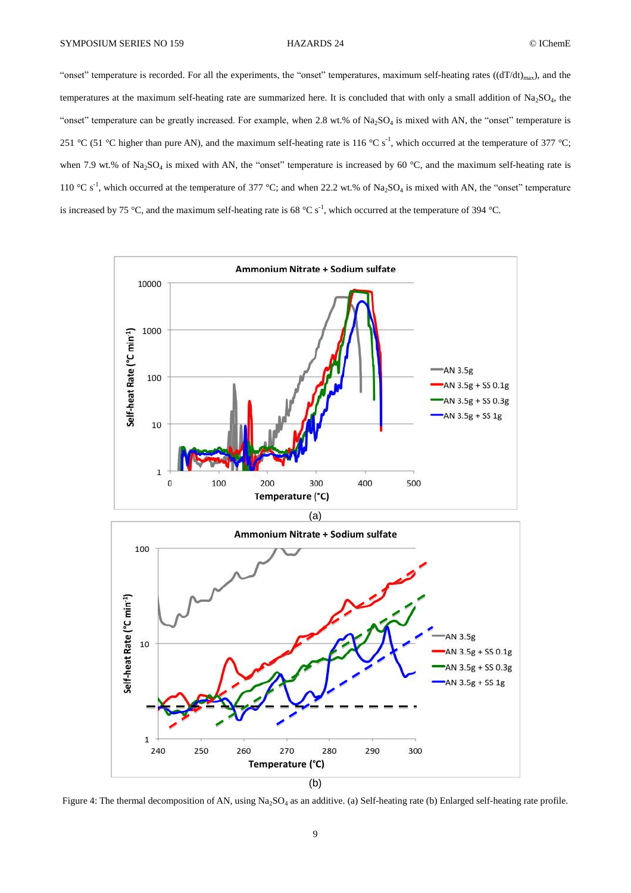"onset" temperature is recorded. For all the experiments, the "onset" temperatures, maximum self-heating rates  $((dT/dt)_{max})$ , and the temperatures at the maximum self-heating rate are summarized here. It is concluded that with only a small addition of Na<sub>2</sub>SO<sub>4</sub>, the "onset" temperature can be greatly increased. For example, when  $2.8 \text{ wt.}\%$  of  $\text{Na}_2\text{SO}_4$  is mixed with AN, the "onset" temperature is 251 °C (51 °C higher than pure AN), and the maximum self-heating rate is 116 °C s<sup>-1</sup>, which occurred at the temperature of 377 °C; when 7.9 wt.% of  $Na_2SO_4$  is mixed with AN, the "onset" temperature is increased by 60 °C, and the maximum self-heating rate is 110 °C s<sup>-1</sup>, which occurred at the temperature of 377 °C; and when 22.2 wt.% of Na<sub>2</sub>SO<sub>4</sub> is mixed with AN, the "onset" temperature is increased by 75 °C, and the maximum self-heating rate is 68 °C s<sup>-1</sup>, which occurred at the temperature of 394 °C.



<span id="page-8-0"></span>Figure 4: The thermal decomposition of AN, using Na<sub>2</sub>SO<sub>4</sub> as an additive. (a) Self-heating rate (b) Enlarged self-heating rate profile.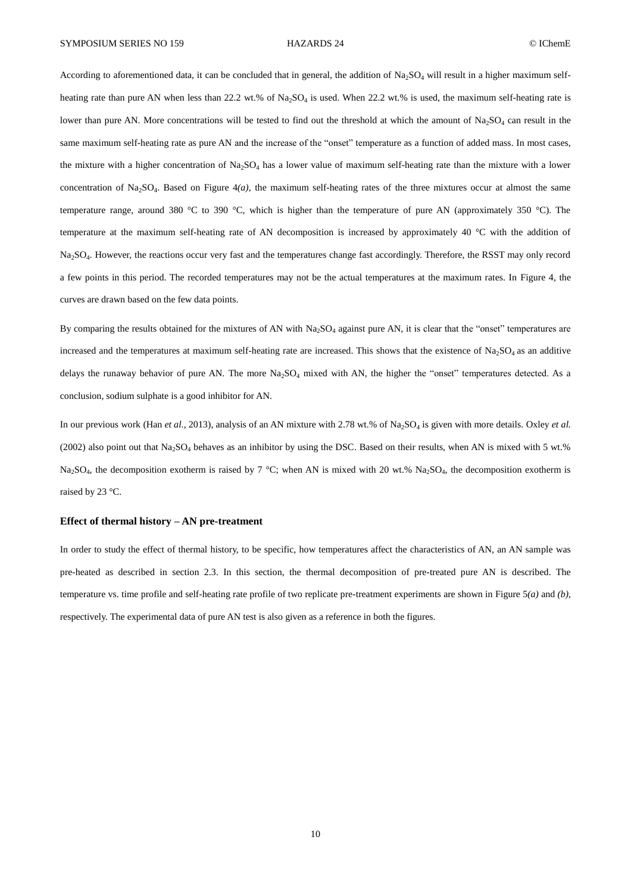According to aforementioned data, it can be concluded that in general, the addition of  $Na<sub>2</sub>SO<sub>4</sub>$  will result in a higher maximum selfheating rate than pure AN when less than  $22.2$  wt.% of  $Na_2SO_4$  is used. When  $22.2$  wt.% is used, the maximum self-heating rate is lower than pure AN. More concentrations will be tested to find out the threshold at which the amount of  $Na<sub>2</sub>SO<sub>4</sub>$  can result in the same maximum self-heating rate as pure AN and the increase of the "onset" temperature as a function of added mass. In most cases, the mixture with a higher concentration of  $Na<sub>2</sub>SO<sub>4</sub>$  has a lower value of maximum self-heating rate than the mixture with a lower concentration of  $Na<sub>2</sub>SO<sub>4</sub>$ . Based on [Figure 4](#page-8-0)*(a)*, the maximum self-heating rates of the three mixtures occur at almost the same temperature range, around 380 °C to 390 °C, which is higher than the temperature of pure AN (approximately 350 °C). The temperature at the maximum self-heating rate of AN decomposition is increased by approximately 40 °C with the addition of Na2SO<sup>4</sup> . However, the reactions occur very fast and the temperatures change fast accordingly. Therefore, the RSST may only record a few points in this period. The recorded temperatures may not be the actual temperatures at the maximum rates. In [Figure 4,](#page-8-0) the curves are drawn based on the few data points.

By comparing the results obtained for the mixtures of AN with Na<sub>2</sub>SO<sub>4</sub> against pure AN, it is clear that the "onset" temperatures are increased and the temperatures at maximum self-heating rate are increased. This shows that the existence of  $Na<sub>2</sub>SO<sub>4</sub>$  as an additive delays the runaway behavior of pure AN. The more  $Na<sub>2</sub>SO<sub>4</sub>$  mixed with AN, the higher the "onset" temperatures detected. As a conclusion, sodium sulphate is a good inhibitor for AN.

In our previous work (Han *et al.*, 2013), analysis of an AN mixture with 2.78 wt.% of Na<sub>2</sub>SO<sub>4</sub> is given with more details. Oxley *et al.* (2002) also point out that  $Na_2SO_4$  behaves as an inhibitor by using the DSC. Based on their results, when AN is mixed with 5 wt.%  $Na_2SO_4$ , the decomposition exotherm is raised by 7 °C; when AN is mixed with 20 wt.%  $Na_2SO_4$ , the decomposition exotherm is raised by 23 °C.

### **Effect of thermal history – AN pre-treatment**

In order to study the effect of thermal history, to be specific, how temperatures affect the characteristics of AN, an AN sample was pre-heated as described in section 2.3. In this section, the thermal decomposition of pre-treated pure AN is described. The temperature vs. time profile and self-heating rate profile of two replicate pre-treatment experiments are shown in [Figure 5](#page-10-0)*(a)* and *(b)*, respectively. The experimental data of pure AN test is also given as a reference in both the figures.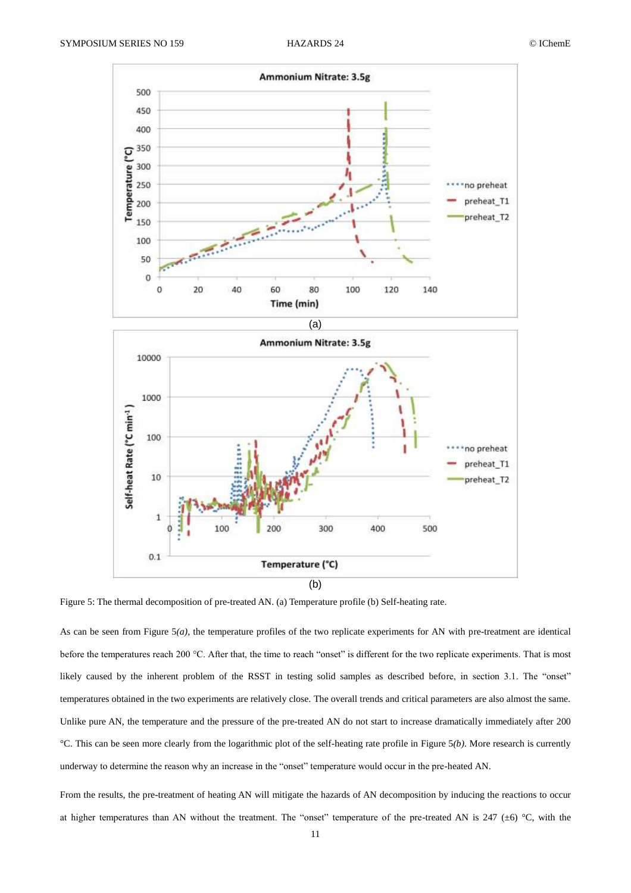

<span id="page-10-0"></span>Figure 5: The thermal decomposition of pre-treated AN. (a) Temperature profile (b) Self-heating rate.

As can be seen from [Figure 5](#page-10-0)*(a)*, the temperature profiles of the two replicate experiments for AN with pre-treatment are identical before the temperatures reach 200 °C. After that, the time to reach "onset" is different for the two replicate experiments. That is most likely caused by the inherent problem of the RSST in testing solid samples as described before, in section 3.1. The "onset" temperatures obtained in the two experiments are relatively close. The overall trends and critical parameters are also almost the same. Unlike pure AN, the temperature and the pressure of the pre-treated AN do not start to increase dramatically immediately after 200 °C. This can be seen more clearly from the logarithmic plot of the self-heating rate profile in [Figure 5](#page-10-0)*(b)*. More research is currently underway to determine the reason why an increase in the "onset" temperature would occur in the pre-heated AN.

From the results, the pre-treatment of heating AN will mitigate the hazards of AN decomposition by inducing the reactions to occur at higher temperatures than AN without the treatment. The "onset" temperature of the pre-treated AN is  $247 \div 6$  °C, with the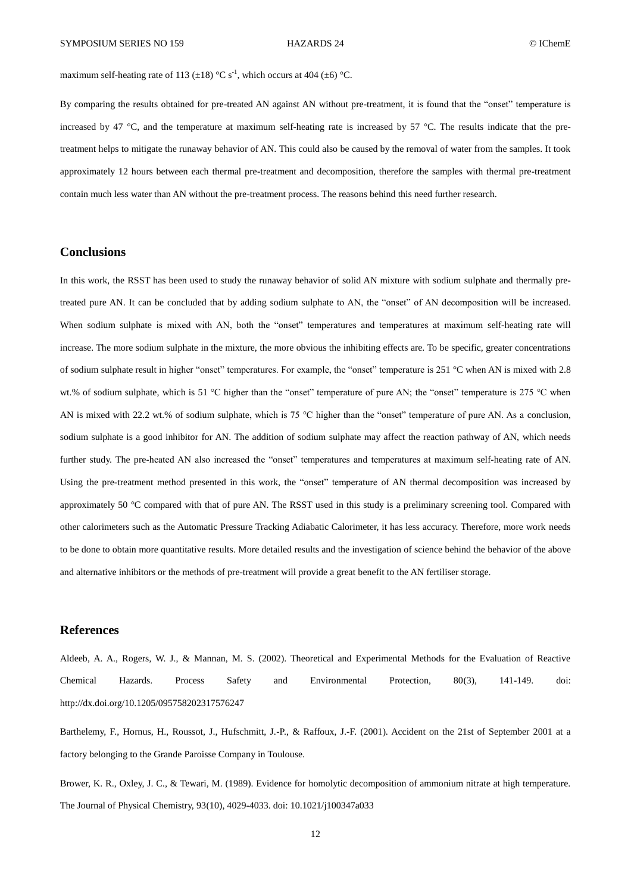maximum self-heating rate of 113 ( $\pm$ 18) °C s<sup>-1</sup>, which occurs at 404 ( $\pm$ 6) °C.

By comparing the results obtained for pre-treated AN against AN without pre-treatment, it is found that the "onset" temperature is increased by 47  $^{\circ}$ C, and the temperature at maximum self-heating rate is increased by 57  $^{\circ}$ C. The results indicate that the pretreatment helps to mitigate the runaway behavior of AN. This could also be caused by the removal of water from the samples. It took approximately 12 hours between each thermal pre-treatment and decomposition, therefore the samples with thermal pre-treatment contain much less water than AN without the pre-treatment process. The reasons behind this need further research.

# **Conclusions**

In this work, the RSST has been used to study the runaway behavior of solid AN mixture with sodium sulphate and thermally pretreated pure AN. It can be concluded that by adding sodium sulphate to AN, the "onset" of AN decomposition will be increased. When sodium sulphate is mixed with AN, both the "onset" temperatures and temperatures at maximum self-heating rate will increase. The more sodium sulphate in the mixture, the more obvious the inhibiting effects are. To be specific, greater concentrations of sodium sulphate result in higher "onset" temperatures. For example, the "onset" temperature is 251 °C when AN is mixed with 2.8 wt.% of sodium sulphate, which is 51 °C higher than the "onset" temperature of pure AN; the "onset" temperature is 275 °C when AN is mixed with 22.2 wt.% of sodium sulphate, which is 75 °C higher than the "onset" temperature of pure AN. As a conclusion, sodium sulphate is a good inhibitor for AN. The addition of sodium sulphate may affect the reaction pathway of AN, which needs further study. The pre-heated AN also increased the "onset" temperatures and temperatures at maximum self-heating rate of AN. Using the pre-treatment method presented in this work, the "onset" temperature of AN thermal decomposition was increased by approximately 50 °C compared with that of pure AN. The RSST used in this study is a preliminary screening tool. Compared with other calorimeters such as the Automatic Pressure Tracking Adiabatic Calorimeter, it has less accuracy. Therefore, more work needs to be done to obtain more quantitative results. More detailed results and the investigation of science behind the behavior of the above and alternative inhibitors or the methods of pre-treatment will provide a great benefit to the AN fertiliser storage.

### **References**

Aldeeb, A. A., Rogers, W. J., & Mannan, M. S. (2002). Theoretical and Experimental Methods for the Evaluation of Reactive Chemical Hazards. Process Safety and Environmental Protection, 80(3), 141-149. doi: http://dx.doi.org/10.1205/095758202317576247

Barthelemy, F., Hornus, H., Roussot, J., Hufschmitt, J.-P., & Raffoux, J.-F. (2001). Accident on the 21st of September 2001 at a factory belonging to the Grande Paroisse Company in Toulouse.

Brower, K. R., Oxley, J. C., & Tewari, M. (1989). Evidence for homolytic decomposition of ammonium nitrate at high temperature. The Journal of Physical Chemistry, 93(10), 4029-4033. doi: 10.1021/j100347a033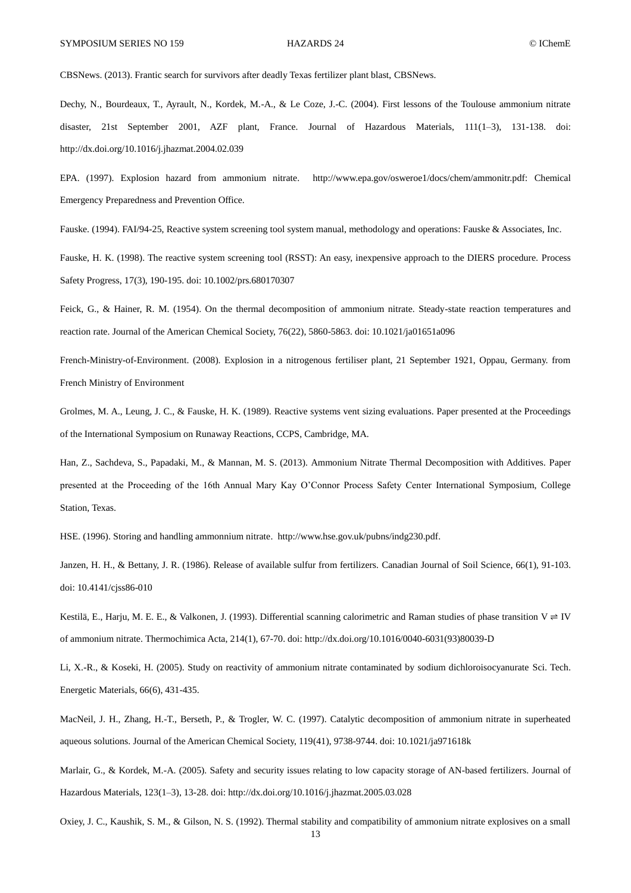CBSNews. (2013). Frantic search for survivors after deadly Texas fertilizer plant blast, CBSNews.

Dechy, N., Bourdeaux, T., Ayrault, N., Kordek, M.-A., & Le Coze, J.-C. (2004). First lessons of the Toulouse ammonium nitrate disaster, 21st September 2001, AZF plant, France. Journal of Hazardous Materials, 111(1–3), 131-138. doi: http://dx.doi.org/10.1016/j.jhazmat.2004.02.039

EPA. (1997). Explosion hazard from ammonium nitrate. http://www.epa.gov/osweroe1/docs/chem/ammonitr.pdf: Chemical Emergency Preparedness and Prevention Office.

Fauske. (1994). FAI/94-25, Reactive system screening tool system manual, methodology and operations: Fauske & Associates, Inc.

Fauske, H. K. (1998). The reactive system screening tool (RSST): An easy, inexpensive approach to the DIERS procedure. Process Safety Progress, 17(3), 190-195. doi: 10.1002/prs.680170307

Feick, G., & Hainer, R. M. (1954). On the thermal decomposition of ammonium nitrate. Steady-state reaction temperatures and reaction rate. Journal of the American Chemical Society, 76(22), 5860-5863. doi: 10.1021/ja01651a096

French-Ministry-of-Environment. (2008). Explosion in a nitrogenous fertiliser plant, 21 September 1921, Oppau, Germany. from French Ministry of Environment

Grolmes, M. A., Leung, J. C., & Fauske, H. K. (1989). Reactive systems vent sizing evaluations. Paper presented at the Proceedings of the International Symposium on Runaway Reactions, CCPS, Cambridge, MA.

Han, Z., Sachdeva, S., Papadaki, M., & Mannan, M. S. (2013). Ammonium Nitrate Thermal Decomposition with Additives. Paper presented at the Proceeding of the 16th Annual Mary Kay O'Connor Process Safety Center International Symposium, College Station, Texas.

HSE. (1996). Storing and handling ammonnium nitrate. http://www.hse.gov.uk/pubns/indg230.pdf.

Janzen, H. H., & Bettany, J. R. (1986). Release of available sulfur from fertilizers. Canadian Journal of Soil Science, 66(1), 91-103. doi: 10.4141/cjss86-010

Kestilä, E., Harju, M. E. E., & Valkonen, J. (1993). Differential scanning calorimetric and Raman studies of phase transition  $V \rightleftharpoons IV$ of ammonium nitrate. Thermochimica Acta, 214(1), 67-70. doi: http://dx.doi.org/10.1016/0040-6031(93)80039-D

Li, X.-R., & Koseki, H. (2005). Study on reactivity of ammonium nitrate contaminated by sodium dichloroisocyanurate Sci. Tech. Energetic Materials, 66(6), 431-435.

MacNeil, J. H., Zhang, H.-T., Berseth, P., & Trogler, W. C. (1997). Catalytic decomposition of ammonium nitrate in superheated aqueous solutions. Journal of the American Chemical Society, 119(41), 9738-9744. doi: 10.1021/ja971618k

Marlair, G., & Kordek, M.-A. (2005). Safety and security issues relating to low capacity storage of AN-based fertilizers. Journal of Hazardous Materials, 123(1–3), 13-28. doi: http://dx.doi.org/10.1016/j.jhazmat.2005.03.028

Oxiey, J. C., Kaushik, S. M., & Gilson, N. S. (1992). Thermal stability and compatibility of ammonium nitrate explosives on a small

13